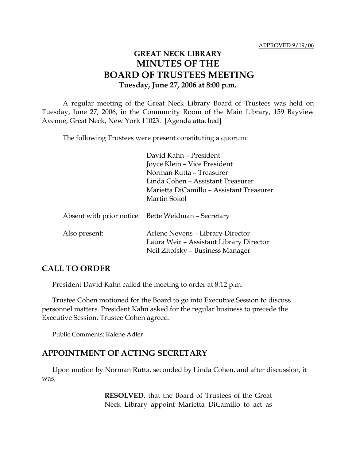# **GREAT NECK LIBRARY MINUTES OF THE BOARD OF TRUSTEES MEETING Tuesday, June 27, 2006 at 8:00 p.m.**

A regular meeting of the Great Neck Library Board of Trustees was held on Tuesday, June 27, 2006, in the Community Room of the Main Library, 159 Bayview Avenue, Great Neck, New York 11023. [Agenda attached]

The following Trustees were present constituting a quorum:

David Kahn – President Joyce Klein – Vice President Norman Rutta – Treasurer Linda Cohen – Assistant Treasurer Marietta DiCamillo – Assistant Treasurer Martin Sokol

|               | Absent with prior notice: Bette Weidman - Secretary                                                             |
|---------------|-----------------------------------------------------------------------------------------------------------------|
| Also present: | Arlene Nevens - Library Director<br>Laura Weir - Assistant Library Director<br>Neil Zitofsky - Business Manager |

#### **CALL TO ORDER**

President David Kahn called the meeting to order at 8:12 p.m.

Trustee Cohen motioned for the Board to go into Executive Session to discuss personnel matters. President Kahn asked for the regular business to precede the Executive Session. Trustee Cohen agreed.

Public Comments: Ralene Adler

#### **APPOINTMENT OF ACTING SECRETARY**

Upon motion by Norman Rutta, seconded by Linda Cohen, and after discussion, it was,

> **RESOLVED**, that the Board of Trustees of the Great Neck Library appoint Marietta DiCamillo to act as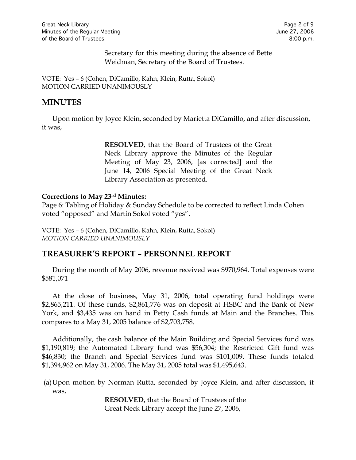Secretary for this meeting during the absence of Bette Weidman, Secretary of the Board of Trustees.

VOTE:Yes – 6 (Cohen, DiCamillo, Kahn, Klein, Rutta, Sokol) MOTION CARRIED UNANIMOUSLY

### **MINUTES**

Upon motion by Joyce Klein, seconded by Marietta DiCamillo, and after discussion, it was,

> **RESOLVED**, that the Board of Trustees of the Great Neck Library approve the Minutes of the Regular Meeting of May 23, 2006, [as corrected] and the June 14, 2006 Special Meeting of the Great Neck Library Association as presented.

#### **Corrections to May 23rd Minutes:**

Page 6: Tabling of Holiday & Sunday Schedule to be corrected to reflect Linda Cohen voted "opposed" and Martin Sokol voted "yes".

VOTE:Yes – 6 (Cohen, DiCamillo, Kahn, Klein, Rutta, Sokol) *MOTION CARRIED UNANIMOUSLY*

## **TREASURER'S REPORT – PERSONNEL REPORT**

During the month of May 2006, revenue received was \$970,964. Total expenses were \$581,071

At the close of business, May 31, 2006, total operating fund holdings were \$2,865,211. Of these funds, \$2,861,776 was on deposit at HSBC and the Bank of New York, and \$3,435 was on hand in Petty Cash funds at Main and the Branches. This compares to a May 31, 2005 balance of \$2,703,758.

Additionally, the cash balance of the Main Building and Special Services fund was \$1,190,819; the Automated Library fund was \$56,304; the Restricted Gift fund was \$46,830; the Branch and Special Services fund was \$101,009. These funds totaled \$1,394,962 on May 31, 2006. The May 31, 2005 total was \$1,495,643.

(a)Upon motion by Norman Rutta, seconded by Joyce Klein, and after discussion, it was,

> **RESOLVED,** that the Board of Trustees of the Great Neck Library accept the June 27, 2006,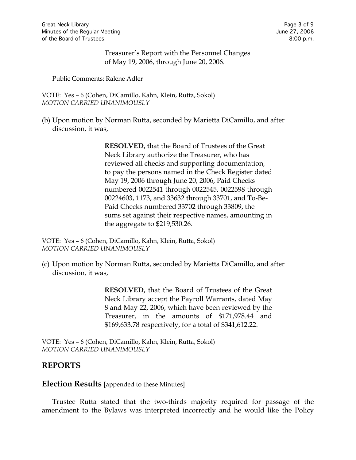Treasurer's Report with the Personnel Changes of May 19, 2006, through June 20, 2006.

Public Comments: Ralene Adler

VOTE:Yes – 6 (Cohen, DiCamillo, Kahn, Klein, Rutta, Sokol) *MOTION CARRIED UNANIMOUSLY*

(b) Upon motion by Norman Rutta, seconded by Marietta DiCamillo, and after discussion, it was,

> **RESOLVED,** that the Board of Trustees of the Great Neck Library authorize the Treasurer, who has reviewed all checks and supporting documentation, to pay the persons named in the Check Register dated May 19, 2006 through June 20, 2006, Paid Checks numbered 0022541 through 0022545, 0022598 through 00224603, 1173, and 33632 through 33701, and To-Be-Paid Checks numbered 33702 through 33809, the sums set against their respective names, amounting in the aggregate to \$219,530.26.

VOTE:Yes – 6 (Cohen, DiCamillo, Kahn, Klein, Rutta, Sokol) *MOTION CARRIED UNANIMOUSLY*

(c) Upon motion by Norman Rutta, seconded by Marietta DiCamillo, and after discussion, it was,

> **RESOLVED,** that the Board of Trustees of the Great Neck Library accept the Payroll Warrants, dated May 8 and May 22, 2006, which have been reviewed by the Treasurer, in the amounts of \$171,978.44 and \$169,633.78 respectively, for a total of \$341,612.22.

VOTE:Yes – 6 (Cohen, DiCamillo, Kahn, Klein, Rutta, Sokol) *MOTION CARRIED UNANIMOUSLY*

#### **REPORTS**

**Election Results** [appended to these Minutes]

Trustee Rutta stated that the two-thirds majority required for passage of the amendment to the Bylaws was interpreted incorrectly and he would like the Policy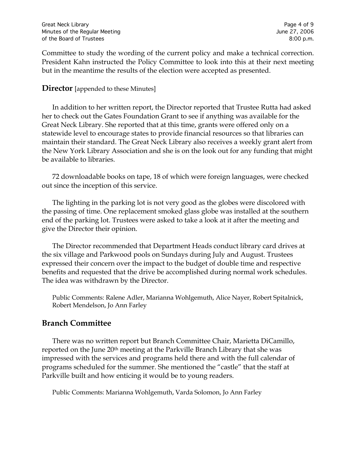Committee to study the wording of the current policy and make a technical correction. President Kahn instructed the Policy Committee to look into this at their next meeting but in the meantime the results of the election were accepted as presented.

#### **Director** [appended to these Minutes]

In addition to her written report, the Director reported that Trustee Rutta had asked her to check out the Gates Foundation Grant to see if anything was available for the Great Neck Library. She reported that at this time, grants were offered only on a statewide level to encourage states to provide financial resources so that libraries can maintain their standard. The Great Neck Library also receives a weekly grant alert from the New York Library Association and she is on the look out for any funding that might be available to libraries.

72 downloadable books on tape, 18 of which were foreign languages, were checked out since the inception of this service.

The lighting in the parking lot is not very good as the globes were discolored with the passing of time. One replacement smoked glass globe was installed at the southern end of the parking lot. Trustees were asked to take a look at it after the meeting and give the Director their opinion.

The Director recommended that Department Heads conduct library card drives at the six village and Parkwood pools on Sundays during July and August. Trustees expressed their concern over the impact to the budget of double time and respective benefits and requested that the drive be accomplished during normal work schedules. The idea was withdrawn by the Director.

Public Comments: Ralene Adler, Marianna Wohlgemuth, Alice Nayer, Robert Spitalnick, Robert Mendelson, Jo Ann Farley

## **Branch Committee**

There was no written report but Branch Committee Chair, Marietta DiCamillo, reported on the June 20<sup>th</sup> meeting at the Parkville Branch Library that she was impressed with the services and programs held there and with the full calendar of programs scheduled for the summer. She mentioned the "castle" that the staff at Parkville built and how enticing it would be to young readers.

Public Comments: Marianna Wohlgemuth, Varda Solomon, Jo Ann Farley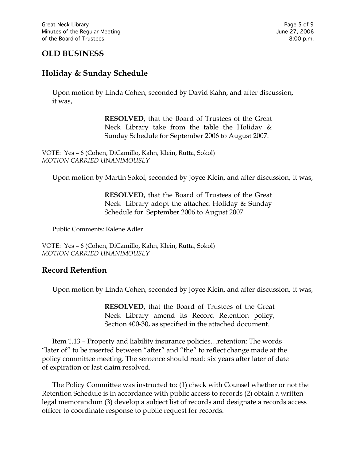# **OLD BUSINESS**

# **Holiday & Sunday Schedule**

Upon motion by Linda Cohen, seconded by David Kahn, and after discussion, it was,

> **RESOLVED,** that the Board of Trustees of the Great Neck Library take from the table the Holiday  $\&$ Sunday Schedule for September 2006 to August 2007.

VOTE:Yes – 6 (Cohen, DiCamillo, Kahn, Klein, Rutta, Sokol) *MOTION CARRIED UNANIMOUSLY*

Upon motion by Martin Sokol, seconded by Joyce Klein, and after discussion, it was,

**RESOLVED,** that the Board of Trustees of the Great Neck Library adopt the attached Holiday & Sunday Schedule for September 2006 to August 2007.

Public Comments: Ralene Adler

VOTE:Yes – 6 (Cohen, DiCamillo, Kahn, Klein, Rutta, Sokol) *MOTION CARRIED UNANIMOUSLY*

#### **Record Retention**

Upon motion by Linda Cohen, seconded by Joyce Klein, and after discussion, it was,

**RESOLVED,** that the Board of Trustees of the Great Neck Library amend its Record Retention policy, Section 400-30, as specified in the attached document.

Item 1.13 – Property and liability insurance policies…retention: The words "later of" to be inserted between "after" and "the" to reflect change made at the policy committee meeting. The sentence should read: six years after later of date of expiration or last claim resolved.

The Policy Committee was instructed to: (1) check with Counsel whether or not the Retention Schedule is in accordance with public access to records (2) obtain a written legal memorandum (3) develop a subject list of records and designate a records access officer to coordinate response to public request for records.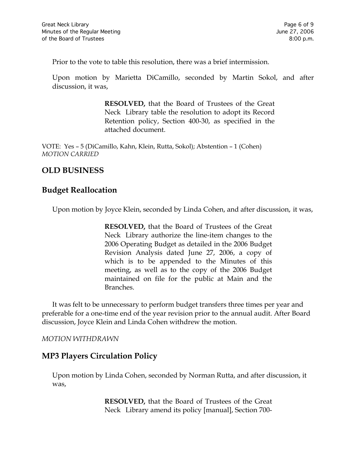Prior to the vote to table this resolution, there was a brief intermission.

Upon motion by Marietta DiCamillo, seconded by Martin Sokol, and after discussion, it was,

> **RESOLVED,** that the Board of Trustees of the Great Neck Library table the resolution to adopt its Record Retention policy, Section 400-30, as specified in the attached document.

VOTE:Yes – 5 (DiCamillo, Kahn, Klein, Rutta, Sokol); Abstention – 1 (Cohen) *MOTION CARRIED* 

# **OLD BUSINESS**

## **Budget Reallocation**

Upon motion by Joyce Klein, seconded by Linda Cohen, and after discussion, it was,

**RESOLVED,** that the Board of Trustees of the Great Neck Library authorize the line-item changes to the 2006 Operating Budget as detailed in the 2006 Budget Revision Analysis dated June 27, 2006, a copy of which is to be appended to the Minutes of this meeting, as well as to the copy of the 2006 Budget maintained on file for the public at Main and the Branches.

It was felt to be unnecessary to perform budget transfers three times per year and preferable for a one-time end of the year revision prior to the annual audit. After Board discussion, Joyce Klein and Linda Cohen withdrew the motion.

*MOTION WITHDRAWN*

## **MP3 Players Circulation Policy**

Upon motion by Linda Cohen, seconded by Norman Rutta, and after discussion, it was,

> **RESOLVED,** that the Board of Trustees of the Great Neck Library amend its policy [manual], Section 700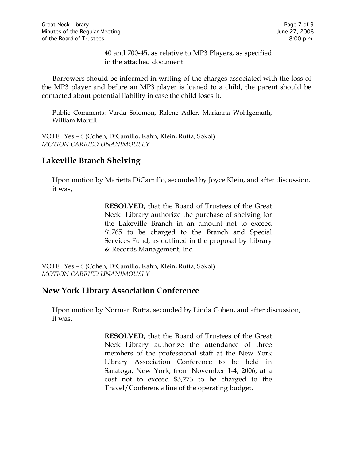40 and 700-45, as relative to MP3 Players, as specified in the attached document.

Borrowers should be informed in writing of the charges associated with the loss of the MP3 player and before an MP3 player is loaned to a child, the parent should be contacted about potential liability in case the child loses it.

Public Comments: Varda Solomon, Ralene Adler, Marianna Wohlgemuth, William Morrill

VOTE:Yes – 6 (Cohen, DiCamillo, Kahn, Klein, Rutta, Sokol) *MOTION CARRIED UNANIMOUSLY*

# **Lakeville Branch Shelving**

Upon motion by Marietta DiCamillo, seconded by Joyce Klein, and after discussion, it was,

> **RESOLVED,** that the Board of Trustees of the Great Neck Library authorize the purchase of shelving for the Lakeville Branch in an amount not to exceed \$1765 to be charged to the Branch and Special Services Fund, as outlined in the proposal by Library & Records Management, Inc.

VOTE:Yes – 6 (Cohen, DiCamillo, Kahn, Klein, Rutta, Sokol) *MOTION CARRIED UNANIMOUSLY*

## **New York Library Association Conference**

Upon motion by Norman Rutta, seconded by Linda Cohen, and after discussion, it was,

> **RESOLVED,** that the Board of Trustees of the Great Neck Library authorize the attendance of three members of the professional staff at the New York Library Association Conference to be held in Saratoga, New York, from November 1-4, 2006, at a cost not to exceed \$3,273 to be charged to the Travel/Conference line of the operating budget.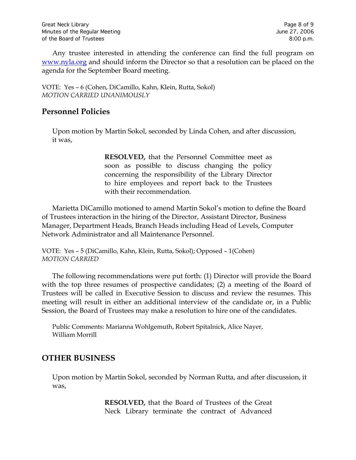Any trustee interested in attending the conference can find the full program on [www.nyla.org](http://www.nyla.org/) and should inform the Director so that a resolution can be placed on the agenda for the September Board meeting.

VOTE:Yes – 6 (Cohen, DiCamillo, Kahn, Klein, Rutta, Sokol) *MOTION CARRIED UNANIMOUSLY*

## **Personnel Policies**

Upon motion by Martin Sokol, seconded by Linda Cohen, and after discussion, it was,

> **RESOLVED,** that the Personnel Committee meet as soon as possible to discuss changing the policy concerning the responsibility of the Library Director to hire employees and report back to the Trustees with their recommendation.

Marietta DiCamillo motioned to amend Martin Sokol's motion to define the Board of Trustees interaction in the hiring of the Director, Assistant Director, Business Manager, Department Heads, Branch Heads including Head of Levels, Computer Network Administrator and all Maintenance Personnel.

VOTE:Yes – 5 (DiCamillo, Kahn, Klein, Rutta, Sokol); Opposed – 1(Cohen) *MOTION CARRIED*

The following recommendations were put forth: (1) Director will provide the Board with the top three resumes of prospective candidates; (2) a meeting of the Board of Trustees will be called in Executive Session to discuss and review the resumes. This meeting will result in either an additional interview of the candidate or, in a Public Session, the Board of Trustees may make a resolution to hire one of the candidates.

Public Comments: Marianna Wohlgemuth, Robert Spitalnick, Alice Nayer, William Morrill

# **OTHER BUSINESS**

Upon motion by Martin Sokol, seconded by Norman Rutta, and after discussion, it was,

> **RESOLVED,** that the Board of Trustees of the Great Neck Library terminate the contract of Advanced